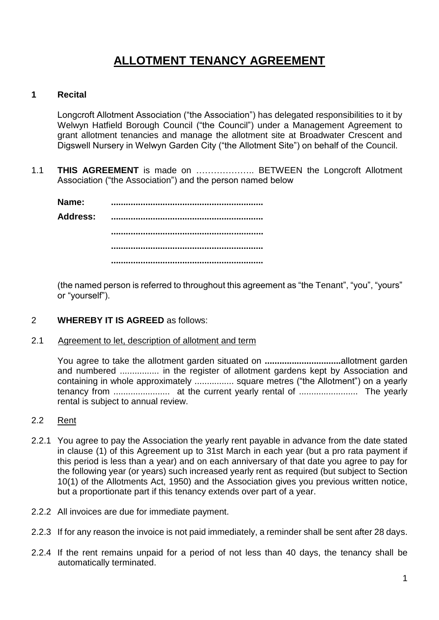# **ALLOTMENT TENANCY AGREEMENT**

## **1 Recital**

Longcroft Allotment Association ("the Association") has delegated responsibilities to it by Welwyn Hatfield Borough Council ("the Council") under a Management Agreement to grant allotment tenancies and manage the allotment site at Broadwater Crescent and Digswell Nursery in Welwyn Garden City ("the Allotment Site") on behalf of the Council.

1.1 **THIS AGREEMENT** is made on ……………….. BETWEEN the Longcroft Allotment Association ("the Association") and the person named below

**Name: .............................................................. Address: .............................................................. .............................................................. .............................................................. ..............................................................**

(the named person is referred to throughout this agreement as "the Tenant", "you", "yours" or "yourself").

- 2 **WHEREBY IT IS AGREED** as follows:
- 2.1 Agreement to let, description of allotment and term

You agree to take the allotment garden situated on **...............................**allotment garden and numbered ................ in the register of allotment gardens kept by Association and containing in whole approximately ................ square metres ("the Allotment") on a yearly tenancy from ....................... at the current yearly rental of ........................ The yearly rental is subject to annual review.

- 2.2 Rent
- 2.2.1 You agree to pay the Association the yearly rent payable in advance from the date stated in clause (1) of this Agreement up to 31st March in each year (but a pro rata payment if this period is less than a year) and on each anniversary of that date you agree to pay for the following year (or years) such increased yearly rent as required (but subject to Section 10(1) of the Allotments Act, 1950) and the Association gives you previous written notice, but a proportionate part if this tenancy extends over part of a year.
- 2.2.2 All invoices are due for immediate payment.
- 2.2.3 If for any reason the invoice is not paid immediately, a reminder shall be sent after 28 days.
- 2.2.4 If the rent remains unpaid for a period of not less than 40 days, the tenancy shall be automatically terminated.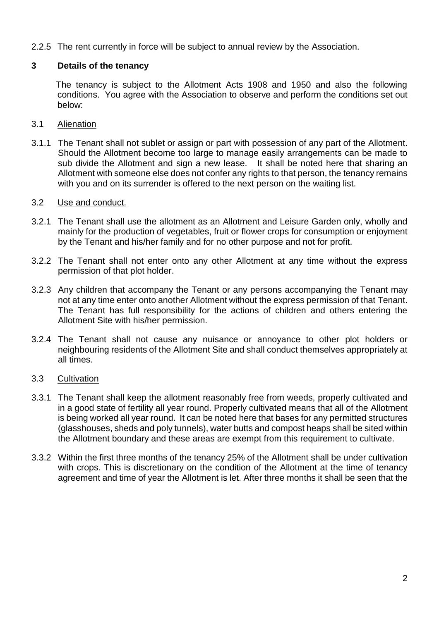2.2.5 The rent currently in force will be subject to annual review by the Association.

# **3 Details of the tenancy**

 The tenancy is subject to the Allotment Acts 1908 and 1950 and also the following conditions. You agree with the Association to observe and perform the conditions set out below:

## 3.1 Alienation

3.1.1 The Tenant shall not sublet or assign or part with possession of any part of the Allotment. Should the Allotment become too large to manage easily arrangements can be made to sub divide the Allotment and sign a new lease. It shall be noted here that sharing an Allotment with someone else does not confer any rights to that person, the tenancy remains with you and on its surrender is offered to the next person on the waiting list.

## 3.2 Use and conduct.

- 3.2.1 The Tenant shall use the allotment as an Allotment and Leisure Garden only, wholly and mainly for the production of vegetables, fruit or flower crops for consumption or enjoyment by the Tenant and his/her family and for no other purpose and not for profit.
- 3.2.2 The Tenant shall not enter onto any other Allotment at any time without the express permission of that plot holder.
- 3.2.3 Any children that accompany the Tenant or any persons accompanying the Tenant may not at any time enter onto another Allotment without the express permission of that Tenant. The Tenant has full responsibility for the actions of children and others entering the Allotment Site with his/her permission.
- 3.2.4 The Tenant shall not cause any nuisance or annoyance to other plot holders or neighbouring residents of the Allotment Site and shall conduct themselves appropriately at all times.
- 3.3 Cultivation
- 3.3.1 The Tenant shall keep the allotment reasonably free from weeds, properly cultivated and in a good state of fertility all year round. Properly cultivated means that all of the Allotment is being worked all year round. It can be noted here that bases for any permitted structures (glasshouses, sheds and poly tunnels), water butts and compost heaps shall be sited within the Allotment boundary and these areas are exempt from this requirement to cultivate.
- 3.3.2 Within the first three months of the tenancy 25% of the Allotment shall be under cultivation with crops. This is discretionary on the condition of the Allotment at the time of tenancy agreement and time of year the Allotment is let. After three months it shall be seen that the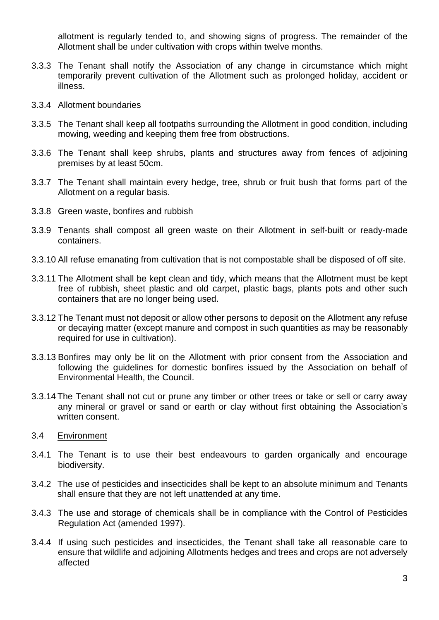allotment is regularly tended to, and showing signs of progress. The remainder of the Allotment shall be under cultivation with crops within twelve months.

- 3.3.3 The Tenant shall notify the Association of any change in circumstance which might temporarily prevent cultivation of the Allotment such as prolonged holiday, accident or illness.
- 3.3.4 Allotment boundaries
- 3.3.5 The Tenant shall keep all footpaths surrounding the Allotment in good condition, including mowing, weeding and keeping them free from obstructions.
- 3.3.6 The Tenant shall keep shrubs, plants and structures away from fences of adjoining premises by at least 50cm.
- 3.3.7 The Tenant shall maintain every hedge, tree, shrub or fruit bush that forms part of the Allotment on a regular basis.
- 3.3.8 Green waste, bonfires and rubbish
- 3.3.9 Tenants shall compost all green waste on their Allotment in self-built or ready-made containers.
- 3.3.10 All refuse emanating from cultivation that is not compostable shall be disposed of off site.
- 3.3.11 The Allotment shall be kept clean and tidy, which means that the Allotment must be kept free of rubbish, sheet plastic and old carpet, plastic bags, plants pots and other such containers that are no longer being used.
- 3.3.12 The Tenant must not deposit or allow other persons to deposit on the Allotment any refuse or decaying matter (except manure and compost in such quantities as may be reasonably required for use in cultivation).
- 3.3.13 Bonfires may only be lit on the Allotment with prior consent from the Association and following the guidelines for domestic bonfires issued by the Association on behalf of Environmental Health, the Council.
- 3.3.14 The Tenant shall not cut or prune any timber or other trees or take or sell or carry away any mineral or gravel or sand or earth or clay without first obtaining the Association's written consent.
- 3.4 Environment
- 3.4.1 The Tenant is to use their best endeavours to garden organically and encourage biodiversity.
- 3.4.2 The use of pesticides and insecticides shall be kept to an absolute minimum and Tenants shall ensure that they are not left unattended at any time.
- 3.4.3 The use and storage of chemicals shall be in compliance with the Control of Pesticides Regulation Act (amended 1997).
- 3.4.4 If using such pesticides and insecticides, the Tenant shall take all reasonable care to ensure that wildlife and adjoining Allotments hedges and trees and crops are not adversely affected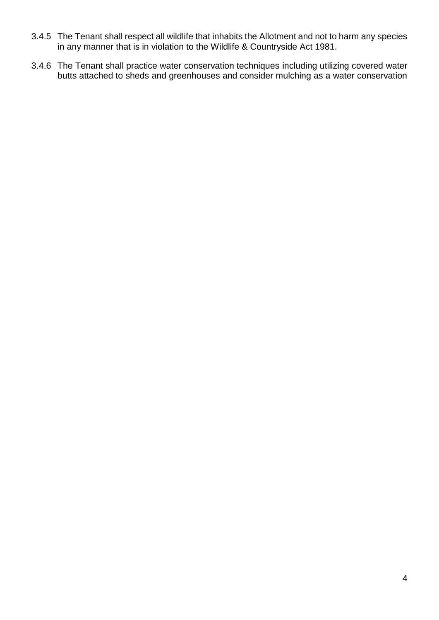- 3.4.5 The Tenant shall respect all wildlife that inhabits the Allotment and not to harm any species in any manner that is in violation to the Wildlife & Countryside Act 1981.
- 3.4.6 The Tenant shall practice water conservation techniques including utilizing covered water butts attached to sheds and greenhouses and consider mulching as a water conservation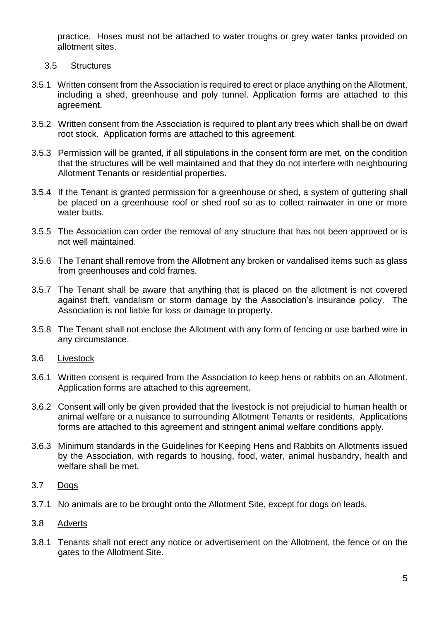practice. Hoses must not be attached to water troughs or grey water tanks provided on allotment sites.

- 3.5 Structures
- 3.5.1 Written consent from the Association is required to erect or place anything on the Allotment, including a shed, greenhouse and poly tunnel. Application forms are attached to this agreement.
- 3.5.2 Written consent from the Association is required to plant any trees which shall be on dwarf root stock. Application forms are attached to this agreement.
- 3.5.3 Permission will be granted, if all stipulations in the consent form are met, on the condition that the structures will be well maintained and that they do not interfere with neighbouring Allotment Tenants or residential properties.
- 3.5.4 If the Tenant is granted permission for a greenhouse or shed, a system of guttering shall be placed on a greenhouse roof or shed roof so as to collect rainwater in one or more water butts.
- 3.5.5 The Association can order the removal of any structure that has not been approved or is not well maintained.
- 3.5.6 The Tenant shall remove from the Allotment any broken or vandalised items such as glass from greenhouses and cold frames.
- 3.5.7 The Tenant shall be aware that anything that is placed on the allotment is not covered against theft, vandalism or storm damage by the Association's insurance policy. The Association is not liable for loss or damage to property.
- 3.5.8 The Tenant shall not enclose the Allotment with any form of fencing or use barbed wire in any circumstance.
- 3.6 Livestock
- 3.6.1 Written consent is required from the Association to keep hens or rabbits on an Allotment. Application forms are attached to this agreement.
- 3.6.2 Consent will only be given provided that the livestock is not prejudicial to human health or animal welfare or a nuisance to surrounding Allotment Tenants or residents. Applications forms are attached to this agreement and stringent animal welfare conditions apply.
- 3.6.3 Minimum standards in the Guidelines for Keeping Hens and Rabbits on Allotments issued by the Association, with regards to housing, food, water, animal husbandry, health and welfare shall be met.

## 3.7 Dogs

3.7.1 No animals are to be brought onto the Allotment Site, except for dogs on leads.

## 3.8 Adverts

3.8.1 Tenants shall not erect any notice or advertisement on the Allotment, the fence or on the gates to the Allotment Site.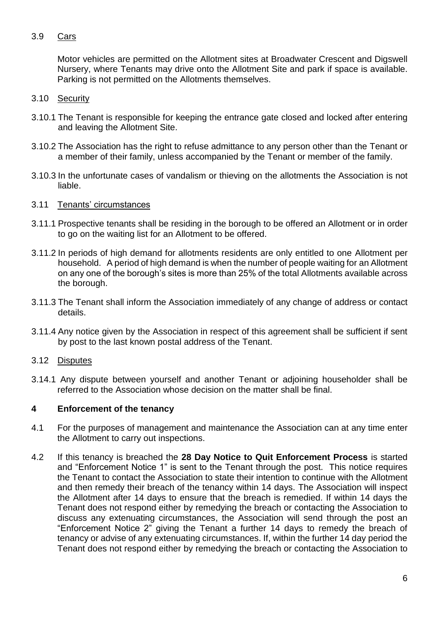# 3.9 Cars

Motor vehicles are permitted on the Allotment sites at Broadwater Crescent and Digswell Nursery, where Tenants may drive onto the Allotment Site and park if space is available. Parking is not permitted on the Allotments themselves.

# 3.10 Security

- 3.10.1 The Tenant is responsible for keeping the entrance gate closed and locked after entering and leaving the Allotment Site.
- 3.10.2 The Association has the right to refuse admittance to any person other than the Tenant or a member of their family, unless accompanied by the Tenant or member of the family.
- 3.10.3 In the unfortunate cases of vandalism or thieving on the allotments the Association is not liable.

## 3.11 Tenants' circumstances

- 3.11.1 Prospective tenants shall be residing in the borough to be offered an Allotment or in order to go on the waiting list for an Allotment to be offered.
- 3.11.2 In periods of high demand for allotments residents are only entitled to one Allotment per household. A period of high demand is when the number of people waiting for an Allotment on any one of the borough's sites is more than 25% of the total Allotments available across the borough.
- 3.11.3 The Tenant shall inform the Association immediately of any change of address or contact details.
- 3.11.4 Any notice given by the Association in respect of this agreement shall be sufficient if sent by post to the last known postal address of the Tenant.

# 3.12 Disputes

3.14.1 Any dispute between yourself and another Tenant or adjoining householder shall be referred to the Association whose decision on the matter shall be final.

# **4 Enforcement of the tenancy**

- 4.1 For the purposes of management and maintenance the Association can at any time enter the Allotment to carry out inspections.
- 4.2 If this tenancy is breached the **28 Day Notice to Quit Enforcement Process** is started and "Enforcement Notice 1" is sent to the Tenant through the post. This notice requires the Tenant to contact the Association to state their intention to continue with the Allotment and then remedy their breach of the tenancy within 14 days. The Association will inspect the Allotment after 14 days to ensure that the breach is remedied. If within 14 days the Tenant does not respond either by remedying the breach or contacting the Association to discuss any extenuating circumstances, the Association will send through the post an "Enforcement Notice 2" giving the Tenant a further 14 days to remedy the breach of tenancy or advise of any extenuating circumstances. If, within the further 14 day period the Tenant does not respond either by remedying the breach or contacting the Association to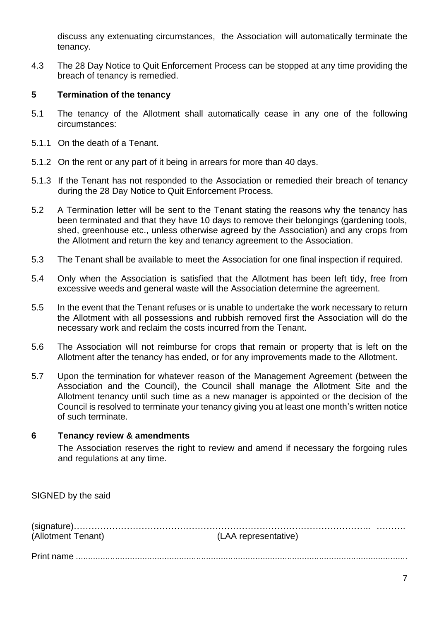discuss any extenuating circumstances, the Association will automatically terminate the tenancy.

4.3 The 28 Day Notice to Quit Enforcement Process can be stopped at any time providing the breach of tenancy is remedied.

## **5 Termination of the tenancy**

- 5.1 The tenancy of the Allotment shall automatically cease in any one of the following circumstances:
- 5.1.1 On the death of a Tenant.
- 5.1.2 On the rent or any part of it being in arrears for more than 40 days.
- 5.1.3 If the Tenant has not responded to the Association or remedied their breach of tenancy during the 28 Day Notice to Quit Enforcement Process.
- 5.2 A Termination letter will be sent to the Tenant stating the reasons why the tenancy has been terminated and that they have 10 days to remove their belongings (gardening tools, shed, greenhouse etc., unless otherwise agreed by the Association) and any crops from the Allotment and return the key and tenancy agreement to the Association.
- 5.3 The Tenant shall be available to meet the Association for one final inspection if required.
- 5.4 Only when the Association is satisfied that the Allotment has been left tidy, free from excessive weeds and general waste will the Association determine the agreement.
- 5.5 In the event that the Tenant refuses or is unable to undertake the work necessary to return the Allotment with all possessions and rubbish removed first the Association will do the necessary work and reclaim the costs incurred from the Tenant.
- 5.6 The Association will not reimburse for crops that remain or property that is left on the Allotment after the tenancy has ended, or for any improvements made to the Allotment.
- 5.7 Upon the termination for whatever reason of the Management Agreement (between the Association and the Council), the Council shall manage the Allotment Site and the Allotment tenancy until such time as a new manager is appointed or the decision of the Council is resolved to terminate your tenancy giving you at least one month's written notice of such terminate.

## **6 Tenancy review & amendments**

The Association reserves the right to review and amend if necessary the forgoing rules and regulations at any time.

| SIGNED by the said |                      |  |
|--------------------|----------------------|--|
| (Allotment Tenant) | (LAA representative) |  |
|                    |                      |  |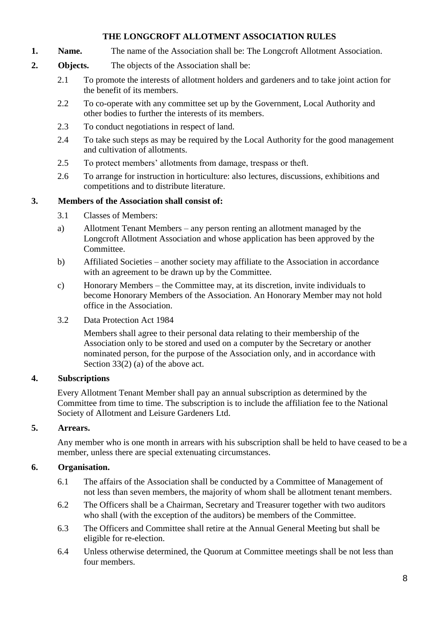## **THE LONGCROFT ALLOTMENT ASSOCIATION RULES**

- **1. Name.** The name of the Association shall be: The Longcroft Allotment Association.
- **2. Objects.** The objects of the Association shall be:
	- 2.1 To promote the interests of allotment holders and gardeners and to take joint action for the benefit of its members.
	- 2.2 To co-operate with any committee set up by the Government, Local Authority and other bodies to further the interests of its members.
	- 2.3 To conduct negotiations in respect of land.
	- 2.4 To take such steps as may be required by the Local Authority for the good management and cultivation of allotments.
	- 2.5 To protect members' allotments from damage, trespass or theft.
	- 2.6 To arrange for instruction in horticulture: also lectures, discussions, exhibitions and competitions and to distribute literature.

## **3. Members of the Association shall consist of:**

- 3.1 Classes of Members:
- a) Allotment Tenant Members any person renting an allotment managed by the Longcroft Allotment Association and whose application has been approved by the Committee.
- b) Affiliated Societies another society may affiliate to the Association in accordance with an agreement to be drawn up by the Committee.
- c) Honorary Members the Committee may, at its discretion, invite individuals to become Honorary Members of the Association. An Honorary Member may not hold office in the Association.
- 3.2 Data Protection Act 1984

Members shall agree to their personal data relating to their membership of the Association only to be stored and used on a computer by the Secretary or another nominated person, for the purpose of the Association only, and in accordance with Section 33(2) (a) of the above act.

# **4. Subscriptions**

Every Allotment Tenant Member shall pay an annual subscription as determined by the Committee from time to time. The subscription is to include the affiliation fee to the National Society of Allotment and Leisure Gardeners Ltd.

# **5. Arrears.**

Any member who is one month in arrears with his subscription shall be held to have ceased to be a member, unless there are special extenuating circumstances.

# **6. Organisation.**

- 6.1 The affairs of the Association shall be conducted by a Committee of Management of not less than seven members, the majority of whom shall be allotment tenant members.
- 6.2 The Officers shall be a Chairman, Secretary and Treasurer together with two auditors who shall (with the exception of the auditors) be members of the Committee.
- 6.3 The Officers and Committee shall retire at the Annual General Meeting but shall be eligible for re-election.
- 6.4 Unless otherwise determined, the Quorum at Committee meetings shall be not less than four members.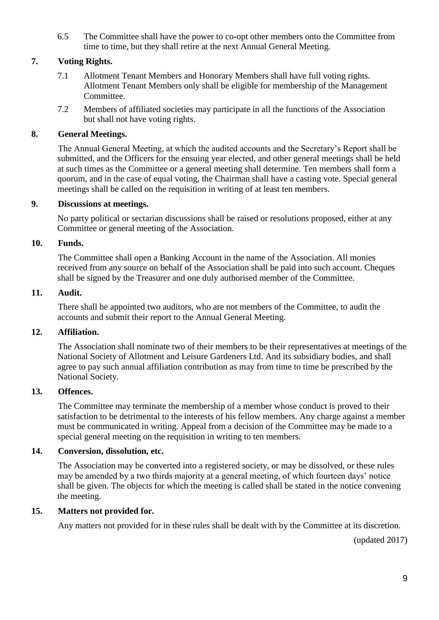6.5 The Committee shall have the power to co-opt other members onto the Committee from time to time, but they shall retire at the next Annual General Meeting.

# **7. Voting Rights.**

- 7.1 Allotment Tenant Members and Honorary Members shall have full voting rights. Allotment Tenant Members only shall be eligible for membership of the Management Committee.
- 7.2 Members of affiliated societies may participate in all the functions of the Association but shall not have voting rights.

# **8. General Meetings.**

The Annual General Meeting, at which the audited accounts and the Secretary's Report shall be submitted, and the Officers for the ensuing year elected, and other general meetings shall be held at such times as the Committee or a general meeting shall determine. Ten members shall form a quorum, and in the case of equal voting, the Chairman shall have a casting vote. Special general meetings shall be called on the requisition in writing of at least ten members.

## **9. Discussions at meetings.**

No party political or sectarian discussions shall be raised or resolutions proposed, either at any Committee or general meeting of the Association.

## **10. Funds.**

The Committee shall open a Banking Account in the name of the Association. All monies received from any source on behalf of the Association shall be paid into such account. Cheques shall be signed by the Treasurer and one duly authorised member of the Committee.

## **11. Audit.**

There shall be appointed two auditors, who are not members of the Committee, to audit the accounts and submit their report to the Annual General Meeting.

## **12. Affiliation.**

The Association shall nominate two of their members to be their representatives at meetings of the National Society of Allotment and Leisure Gardeners Ltd. And its subsidiary bodies, and shall agree to pay such annual affiliation contribution as may from time to time be prescribed by the National Society.

## **13. Offences.**

The Committee may terminate the membership of a member whose conduct is proved to their satisfaction to be detrimental to the interests of his fellow members. Any charge against a member must be communicated in writing. Appeal from a decision of the Committee may be made to a special general meeting on the requisition in writing to ten members.

## **14. Conversion, dissolution, etc.**

The Association may be converted into a registered society, or may be dissolved, or these rules may be amended by a two thirds majority at a general meeting, of which fourteen days' notice shall be given. The objects for which the meeting is called shall be stated in the notice convening the meeting.

## **15. Matters not provided for.**

Any matters not provided for in these rules shall be dealt with by the Committee at its discretion.

(updated 2017)